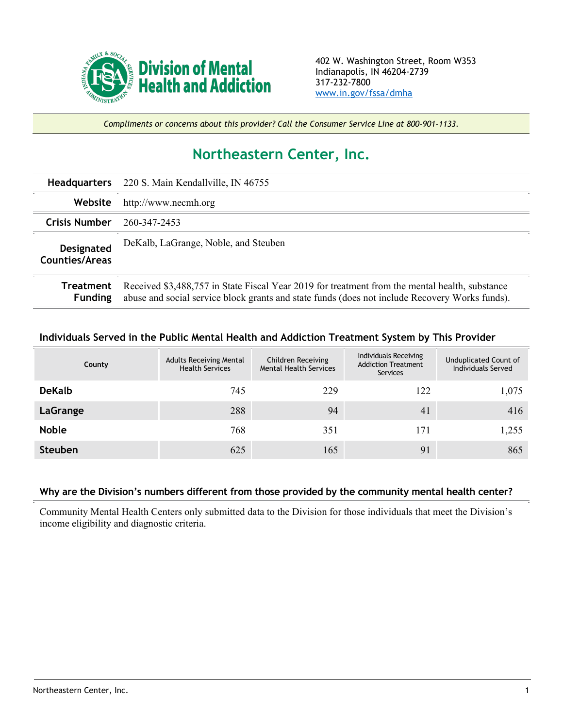

*Compliments or concerns about this provider? Call the Consumer Service Line at 800-901-1133.*

## **Northeastern Center, Inc.**

| <b>Headquarters</b>                        | 220 S. Main Kendallville, IN 46755                                                                                                                                                               |  |  |  |
|--------------------------------------------|--------------------------------------------------------------------------------------------------------------------------------------------------------------------------------------------------|--|--|--|
| Website                                    | http://www.necmh.org                                                                                                                                                                             |  |  |  |
| <b>Crisis Number</b>                       | 260-347-2453                                                                                                                                                                                     |  |  |  |
| <b>Designated</b><br><b>Counties/Areas</b> | DeKalb, LaGrange, Noble, and Steuben                                                                                                                                                             |  |  |  |
| Treatment<br><b>Funding</b>                | Received \$3,488,757 in State Fiscal Year 2019 for treatment from the mental health, substance<br>abuse and social service block grants and state funds (does not include Recovery Works funds). |  |  |  |

## **Individuals Served in the Public Mental Health and Addiction Treatment System by This Provider**

| County         | <b>Adults Receiving Mental</b><br><b>Health Services</b> | Children Receiving<br><b>Mental Health Services</b> | Individuals Receiving<br><b>Addiction Treatment</b><br>Services | Unduplicated Count of<br>Individuals Served |
|----------------|----------------------------------------------------------|-----------------------------------------------------|-----------------------------------------------------------------|---------------------------------------------|
| <b>DeKalb</b>  | 745                                                      | 229                                                 | 122                                                             | 1,075                                       |
| LaGrange       | 288                                                      | 94                                                  | 41                                                              | 416                                         |
| <b>Noble</b>   | 768                                                      | 351                                                 | 171                                                             | 1,255                                       |
| <b>Steuben</b> | 625                                                      | 165                                                 | 91                                                              | 865                                         |

## **Why are the Division's numbers different from those provided by the community mental health center?**

Community Mental Health Centers only submitted data to the Division for those individuals that meet the Division's income eligibility and diagnostic criteria.